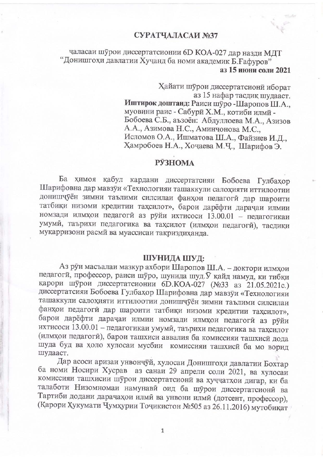# СУРАТЧАЛАСАИ №37

# чаласаи шурои диссертатсионии 6D КОА-027 дар назди МДТ "Донишгохи давлатии Хучанд ба номи академик Б. Ғафуров" аз 15 июни соли 2021

Хайати шурои диссертатсиони иборат аз 15 нафар тасдик шудааст. Иштирок доштанд: Раиси шуро -Шаропов Ш.А., муовини раис - Сабури Х.М., котиби илми -Бобоева С.Б., аъзоён: Абдуллоева М.А., Азизов А.А., Азимова Н.С., Аминчонова М.С., Исломов О.А., Ишматова Ш.А., Файзиев И.Д., Хамробоев Н.А., Хочаева М.Ч., Шарифов Э.

### **РЎЗНОМА**

Ба химоя кабул кардани диссертатсияи Бобоева Гулбахор Шарифовна дар мавзуи «Технологияи ташаккули салохияти иттилоотии донишчуён зимни таълими силсилаи фанқои педагоги дар шароити татбиқи низоми кредитии тақсилот», барои дарёфти дарачаи илмии номзади илмхои педагоги аз руйи ихтисоси 13.00.01 - педагогикаи умуми, таърихи педагогика ва тақсилот (илмқои педагоги), тасдиқи муқарризони расми ва муассисаи тақриздиханда.

#### ШУНИДА ШУД:

Аз руи масъалаи мазкур ахбори Шаропов Ш.А. - доктори илмхои педагоги, профессор, раиси шуро, шунида шуд. У кайд намуд, ки тибки карори шурои диссертатсионии 6D.КОА-027 (№33 аз 21.05.2021с.) диссертатсияи Бобоева Гулбахор Шарифовна дар мавзуи «Технологияи ташаккули салохияти иттилоотии донишчуён зимни таълими силсилаи фанхои педагоги дар шароити татбики низоми кредитии тахсилот», барои дарёфти дарачаи илмии номзади илмхои педагоги аз руйи ихтисоси 13.00.01 - педагогикаи умуми, таърихи педагогика ва тахсилот (илмхои педагоги), барои ташхиси аввалия ба комиссияи ташхиси дода шуда буд ва холо хулосаи мусбии комиссияи ташхиси ба мо ворид шудааст.

Дар асоси аризаи унвончуй, хулосаи Донишгохи давлатии Бохтар ба номи Носири Хусрав аз санаи 29 апрели соли 2021, ва хулосаи комиссияи ташхисии шурои диссертатсиони ва хуччатхои дигар, ки ба талаботи Низомномаи намунави оид ба шурои диссертатсиони ва Тартиби додани дарачахои илмй ва унвони илмй (дотсент, профессор), (Қарори Ҳукумати Чумҳурии Точикистон №505 аз 26.11.2016) мутобиқат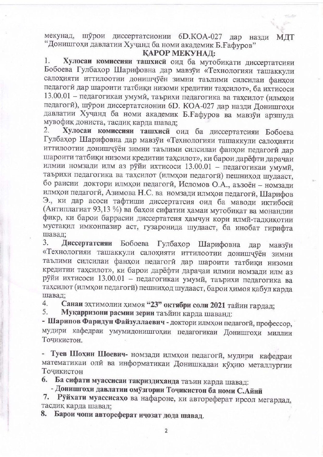мекунад, шурои диссертатсионии 6D.КОА-027 дар назди МДТ "Донишгохи давлатии Хучанд ба номи академик Б. Ғафуров"

### КАРОР МЕКУНАД:

Хулосаи комиссияи ташхиси оид ба мутобикати диссертатсияи  $1.$ Бобоева Гулбахор Шарифовна дар мавзуи «Технологияи ташаккули салохияти иттилоотии донишчуён зимни таълими силсилаи фанхои педагоги дар шароити татбики низоми кредитии тахсилот», ба ихтисоси 13.00.01 - педагогикаи умуми, таърихи педагогика ва тахсилот (илмхои педагоги), шурои диссертатсионии 6D. КОА-027 дар назди Донишгохи давлатии Хучанд ба номи академик Б. Ғафуров ва мавзуи арзшуда мувофик дониста, тасдик карда шавад;

Хулосаи комиссияи ташхиси оид ба диссертатсияи Бобоева 2. Гулбахор Шарифовна дар мавзуи «Технологияи ташаккули салохияти иттилоотии донишчуён зимни таълими силсилаи фанхои педагоги дар шароити татбиқи низоми кредитии тақсилот», ки барои дарёфти дарачан илмии номзади илм аз руйи ихтисоси 13.00.01 - педагогикаи умуми, таърихи педагогика ва тахсилот (илмхои педагоги) пешниход шудааст, бо раисии доктори илмхои педагоги, Исломов О.А., аъзоён - номзади илмхои педагоги, Азимова Н.С. ва номзади илмхои педагоги, Шарифов Э., ки дар асоси тафтиши диссертатсия оид ба маводи иктибоси (Антиплагиат 93,13 %) ва бахои сифатии хамаи мутобикат ва монандии фикр, ки барои баррасии диссертатсия хамчун кори илми-тадкикотии мустакил имконпазир аст, гузаронида шудааст, ба инобат гирифта шавад:

Диссертатсияи Бобоева Гулбахор Шарифовна дар мавзуи 3. «Технологияи ташаккули салохияти иттилоотии донишчуён зимни таълими силсилаи фанхои педагоги дар шароити татбиқи низоми кредитии тахсилот», ки барои дарёфти дарачаи илмии номзади илм аз руйи ихтисоси 13.00.01 - педагогикаи умуми, таърихи педагогика ва тахсилот (илмхои педагоги) пешниход шудааст, барои химоя кабул карда шавад:

Санаи эхтимолии химоя "23" октябри соли 2021 тайин гардад; 4.

Мукарризони расмии зерин таъйин карда шаванд: 5.

- Шарипов Фаридун Файзуллаевич - доктори илмхои педагоги, профессор, мудири кафедраи умумидонишгохии педагогикаи Донишгохи миллии Точикистон.

- Туев Шохин Шоевич- номзади илмхои педагоги, мудири кафедраи математикаи олй ва информатикаи Донишкадаи кухию металлургии Точикистон

6. Ба сифати муассисаи такриздиханда таъин карда шавад:

- Донишгохи давлатии омузгории Точикистон ба номи С.Айни

7. Руйхати муассисахо ва нафароне, ки автореферат ирсол мегардад, тасдик карда шавад:

8. Барои чопи автореферат ичозат дода шавад.